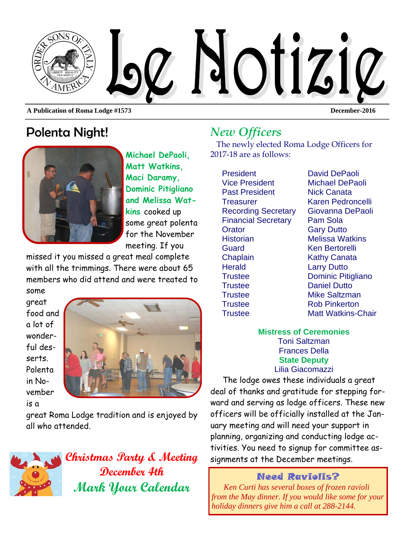

**A Publication of Roma Lodge #1573 December-2016** 

# Polenta Night!



**Michael DePaoli, Matt Watkins, Maci Daramy, Dominic Pitigliano and Melissa Watkins** cooked up some great polenta for the November meeting. If you

missed it you missed a great meal complete with all the trimmings. There were about 65 members who did attend and were treated to

some great food and a lot of wonderful desserts. Polenta in November is a



great Roma Lodge tradition and is enjoyed by all who attended.



**December 4th Mark Your Calendar** 

# *New Officers*

The newly elected Roma Lodge Officers for 2017-18 are as follows:

President David DePaoli Vice President Michael DePaoli Past President Nick Canata Treasurer Karen Pedroncelli Financial Secretary Pam Sola Orator **Gary Dutto** Historian Melissa Watkins Guard Ken Bertorelli Chaplain Kathy Canata Herald **Larry Dutto** Trustee Daniel Dutto Trustee Mike Saltzman Trustee Rob Pinkerton

Recording Secretary Giovanna DePaoli Trustee Dominic Pitigliano Trustee Matt Watkins-Chair

#### **Mistress of Ceremonies**  Toni Saltzman Frances Della **State Deputy**  Lilia Giacomazzi

The lodge owes these individuals a great deal of thanks and gratitude for stepping forward and serving as lodge officers. These new officers will be officially installed at the January meeting and will need your support in planning, organizing and conducting lodge activities. You need to signup for committee as-**Christmas Party & Meeting** signments at the December meetings.

## Need Raviolis?

*Ken Curti has several boxes of frozen ravioli from the May dinner. If you would like some for your holiday dinners give him a call at 288-2144.*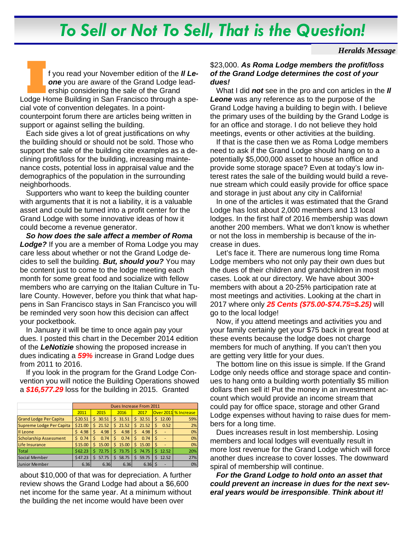# *To Sell or Not To Sell, That is the Question!*

#### *Heralds Message*

I **I I I All the Conduct of the** *Il Le-* one you are aware of the Grand Lodge leadership considering the sale of the Grand Lodge Home Building in San Francisco through a spe*one* you are aware of the Grand Lodge leadership considering the sale of the Grand cial vote of convention delegates. In a pointcounterpoint forum there are articles being written in support or against selling the building.

Each side gives a lot of great justifications on why the building should or should not be sold. Those who support the sale of the building cite examples as a declining profit/loss for the building, increasing maintenance costs, potential loss in appraisal value and the demographics of the population in the surrounding neighborhoods.

Supporters who want to keep the building counter with arguments that it is not a liability, it is a valuable asset and could be turned into a profit center for the Grand Lodge with some innovative ideas of how it could become a revenue generator.

*So how does the sale affect a member of Roma Lodge?* If you are a member of Roma Lodge you may care less about whether or not the Grand Lodge decides to sell the building. *But, should you?* You may be content just to come to the lodge meeting each month for some great food and socialize with fellow members who are carrying on the Italian Culture in Tulare County. However, before you think that what happens in San Francisco stays in San Francisco you will be reminded very soon how this decision can affect your pocketbook.

In January it will be time to once again pay your dues. I posted this chart in the December 2014 edition of the *LeNotizie* showing the proposed increase in dues indicating a *59%* increase in Grand Lodge dues from 2011 to 2016.

If you look in the program for the Grand Lodge Convention you will notice the Building Operations showed a *\$16,577.29* loss for the building in 2015. Granted

|                               | Dues Increase From 2011 |             |            |             |            |                      |
|-------------------------------|-------------------------|-------------|------------|-------------|------------|----------------------|
|                               | 2011                    | 2015        | 2016       | 2017        |            | Over 2011 % Increase |
| <b>Grand Lodge Per Capita</b> | \$20.51                 | 30.51<br>Ś  | 31.51<br>Ś | 32.51<br>Ś  | 12.00<br>S | 59%                  |
| Supreme Lodge Per Capita      | \$21.00                 | 21.52<br>Ś  | 21.52<br>Ś | 21.52<br>Ś. | 0.52<br>S  | 2%                   |
| Il Leone                      | 4.98<br>S               | 4.98        | Ś<br>4.98  | 4.98        | -Ś         | 0%                   |
| <b>Scholarship Assessment</b> | 0.74<br>Š.              | 0.74        | 0.74<br>Ś  | 0.74<br>s   |            | 0%                   |
| Life Insurance                | \$15.00                 | Ś.<br>15.00 | Ś<br>15.00 | Ś<br>15.00  | -Ś         | 0%                   |
| <b>Total</b>                  | \$62.23                 | 72.75       | 73.75<br>Ś | 74.75       | 12.52      | 20%                  |
| Social Member                 | \$47.23                 | 57.75       | 58.75<br>Ś | 59.75       | 12.52      | 27%                  |
| <b>Junior Member</b>          | 6.36                    | 6.36        | 6.36       | $6.36$ \$   |            | 0%                   |

about \$10,000 of that was for depreciation. A further review shows the Grand Lodge had about a \$6,600 net income for the same year. At a minimum without the building the net income would have been over

#### \$23,000. *As Roma Lodge members the profit/loss of the Grand Lodge determines the cost of your dues!*

What I did *not* see in the pro and con articles in the *Il Leone* was any reference as to the purpose of the Grand Lodge having a building to begin with. I believe the primary uses of the building by the Grand Lodge is for an office and storage. I do not believe they hold meetings, events or other activities at the building.

If that is the case then we as Roma Lodge members need to ask if the Grand Lodge should hang on to a potentially \$5,000,000 asset to house an office and provide some storage space? Even at today's low interest rates the sale of the building would build a revenue stream which could easily provide for office space and storage in just about any city in California!

In one of the articles it was estimated that the Grand Lodge has lost about 2,000 members and 13 local lodges. In the first half of 2016 membership was down another 200 members. What we don't know is whether or not the loss in membership is because of the increase in dues.

Let's face it. There are numerous long time Roma Lodge members who not only pay their own dues but the dues of their children and grandchildren in most cases. Look at our directory. We have about 300+ members with about a 20-25% participation rate at most meetings and activities. Looking at the chart in 2017 where only *25 Cents (\$75.00-\$74.75=\$.25)* will go to the local lodge!

Now, if you attend meetings and activities you and your family certainly get your \$75 back in great food at these events because the lodge does not charge members for much of anything. If you can't then you are getting very little for your dues.

The bottom line on this issue is simple. If the Grand Lodge only needs office and storage space and continues to hang onto a building worth potentially \$5 million dollars then sell it! Put the money in an investment account which would provide an income stream that could pay for office space, storage and other Grand Lodge expenses without having to raise dues for members for a long time.

Dues increases result in lost membership. Losing members and local lodges will eventually result in more lost revenue for the Grand Lodge which will force another dues increase to cover losses. The downward spiral of membership will continue.

*For the Grand Lodge to hold onto an asset that could prevent an increase in dues for the next several years would be irresponsible*. *Think about it!*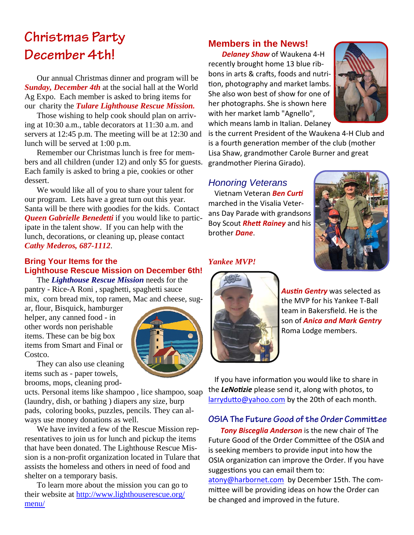# **Christmas Party December 4th!**

Our annual Christmas dinner and program will be *Sunday, December 4th* at the social hall at the World Ag Expo. Each member is asked to bring items for our charity the *Tulare Lighthouse Rescue Mission.* 

Those wishing to help cook should plan on arriving at 10:30 a.m., table decorators at 11:30 a.m. and servers at 12:45 p.m. The meeting will be at 12:30 and lunch will be served at 1:00 p.m.

Remember our Christmas lunch is free for members and all children (under 12) and only \$5 for guests. Each family is asked to bring a pie, cookies or other dessert.

We would like all of you to share your talent for our program. Lets have a great turn out this year. Santa will be there with goodies for the kids. Contact *Queen Gabrielle Benedetti* if you would like to participate in the talent show. If you can help with the lunch, decorations, or cleaning up, please contact *Cathy Mederos, 687-1112*.

### **Bring Your Items for the Lighthouse Rescue Mission on December 6th!**

The *Lighthouse Rescue Mission* needs for the pantry - Rice-A Roni , spaghetti, spaghetti sauce mix, corn bread mix, top ramen, Mac and cheese, sug-

ar, flour, Bisquick, hamburger helper, any canned food - in other words non perishable items. These can be big box items from Smart and Final or Costco.



They can also use cleaning items such as - paper towels, brooms, mops, cleaning prod-

ucts. Personal items like shampoo , lice shampoo, soap (laundry, dish, or bathing ) diapers any size, burp pads, coloring books, puzzles, pencils. They can always use money donations as well.

We have invited a few of the Rescue Mission representatives to join us for lunch and pickup the items that have been donated. The Lighthouse Rescue Mission is a non-profit organization located in Tulare that assists the homeless and others in need of food and shelter on a temporary basis.

To learn more about the mission you can go to their website at http://www.lighthouserescue.org/ menu/

## **Members in the News!**

*Delaney Shaw* of Waukena 4‐H recently brought home 13 blue rib‐ bons in arts & crafts, foods and nutrition, photography and market lambs. She also won best of show for one of her photographs. She is shown here with her market lamb "Agnello", which means lamb in Italian. Delaney



is the current President of the Waukena 4‐H Club and is a fourth generation member of the club (mother Lisa Shaw, grandmother Carole Burner and great grandmother Pierina Girado).

# *Honoring Veterans*

**Vietnam Veteran Ben Curti** marched in the Visalia Veter‐ ans Day Parade with grandsons Boy Scout *Rhett Rainey* and his brother *Dane*.



#### *Yankee MVP!*



**Austin Gentry** was selected as the MVP for his Yankee T‐Ball team in Bakersfield. He is the son of *Anica and Mark Gentry* Roma Lodge members.

If you have information you would like to share in the *LeNoƟzie* please send it, along with photos, to larrydutto@yahoo.com by the 20th of each month.

### **OSIA The Future Good of the Order Committee**

*Tony Bisceglia Anderson* is the new chair of The Future Good of the Order Committee of the OSIA and is seeking members to provide input into how the OSIA organization can improve the Order. If you have suggestions you can email them to:

atony@harbornet.com by December 15th. The committee will be providing ideas on how the Order can be changed and improved in the future.